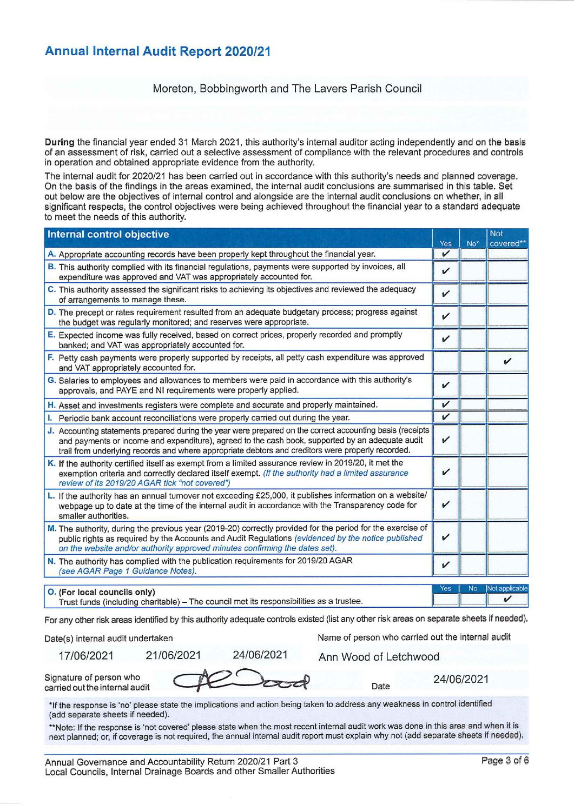### **Annual Internal Audit Report 2020/21**

#### Moreton, Bobbingworth and The Lavers Parish Council

During the financial year ended 31 March 2021, this authority's internal auditor acting independently and on the basis of an assessment of risk, carried out a selective assessment of compliance with the relevant procedures and controls in operation and obtained appropriate evidence from the authority.

The internal audit for 2020/21 has been carried out in accordance with this authority's needs and planned coverage. On the basis of the findings in the areas examined, the internal audit conclusions are summarised in this table. Set out below are the objectives of internal control and alongside are the internal audit conclusions on whether, in all significant respects, the control objectives were being achieved throughout the financial year to a standard adequate to meet the needs of this authority.

| <b>Internal control objective</b>                                                                                                                                                                                                                                                                                  | Yes          | No <sup>*</sup> | <b>Not</b><br>covered** |
|--------------------------------------------------------------------------------------------------------------------------------------------------------------------------------------------------------------------------------------------------------------------------------------------------------------------|--------------|-----------------|-------------------------|
| A. Appropriate accounting records have been properly kept throughout the financial year.                                                                                                                                                                                                                           | V            |                 |                         |
| B. This authority complied with its financial regulations, payments were supported by invoices, all<br>expenditure was approved and VAT was appropriately accounted for.                                                                                                                                           | V            |                 |                         |
| C. This authority assessed the significant risks to achieving its objectives and reviewed the adequacy<br>of arrangements to manage these.                                                                                                                                                                         | V            |                 |                         |
| D. The precept or rates requirement resulted from an adequate budgetary process; progress against<br>the budget was regularly monitored; and reserves were appropriate.                                                                                                                                            | V            |                 |                         |
| E. Expected income was fully received, based on correct prices, properly recorded and promptly<br>banked; and VAT was appropriately accounted for.                                                                                                                                                                 | V            |                 |                         |
| F. Petty cash payments were properly supported by receipts, all petty cash expenditure was approved<br>and VAT appropriately accounted for.                                                                                                                                                                        |              |                 | ✔                       |
| G. Salaries to employees and allowances to members were paid in accordance with this authority's<br>approvals, and PAYE and NI requirements were properly applied.                                                                                                                                                 | $\checkmark$ |                 |                         |
| H. Asset and investments registers were complete and accurate and properly maintained.                                                                                                                                                                                                                             | V            |                 |                         |
| I. Periodic bank account reconciliations were properly carried out during the year.                                                                                                                                                                                                                                | V            |                 |                         |
| J. Accounting statements prepared during the year were prepared on the correct accounting basis (receipts<br>and payments or income and expenditure), agreed to the cash book, supported by an adequate audit<br>trail from underlying records and where appropriate debtors and creditors were properly recorded. | ✓            |                 |                         |
| K. If the authority certified itself as exempt from a limited assurance review in 2019/20, it met the<br>exemption criteria and correctly declared itself exempt. (If the authority had a limited assurance<br>review of its 2019/20 AGAR tick "not covered")                                                      | V            |                 |                         |
| L. If the authority has an annual turnover not exceeding £25,000, it publishes information on a website/<br>webpage up to date at the time of the internal audit in accordance with the Transparency code for<br>smaller authorities.                                                                              | $\checkmark$ |                 |                         |
| M. The authority, during the previous year (2019-20) correctly provided for the period for the exercise of<br>public rights as required by the Accounts and Audit Regulations (evidenced by the notice published<br>on the website and/or authority approved minutes confirming the dates set).                    | ✓            |                 |                         |
| N. The authority has complied with the publication requirements for 2019/20 AGAR<br>(see AGAR Page 1 Guidance Notes).                                                                                                                                                                                              | ✓            |                 |                         |
| O. (For local councils only)                                                                                                                                                                                                                                                                                       | <b>Yes</b>   | <b>No</b>       | Not applicable<br>✓     |
| Trust funds (including charitable) - The council met its responsibilities as a trustee.                                                                                                                                                                                                                            |              |                 |                         |

For any other risk areas identified by this authority adequate controls existed (list any other risk areas on separate sheets if needed).

Date(s) internal audit undertaken

17/06/2021

21/06/2021

Name of person who carried out the internal audit

Ann Wood of Letchwood

Date

Signature of person who carried out the internal audit

24/06/2021

24/06/2021

\*If the response is 'no' please state the implications and action being taken to address any weakness in control identified (add separate sheets if needed).

\*\*Note: If the response is 'not covered' please state when the most recent internal audit work was done in this area and when it is next planned; or, if coverage is not required, the annual internal audit report must explain why not (add separate sheets if needed).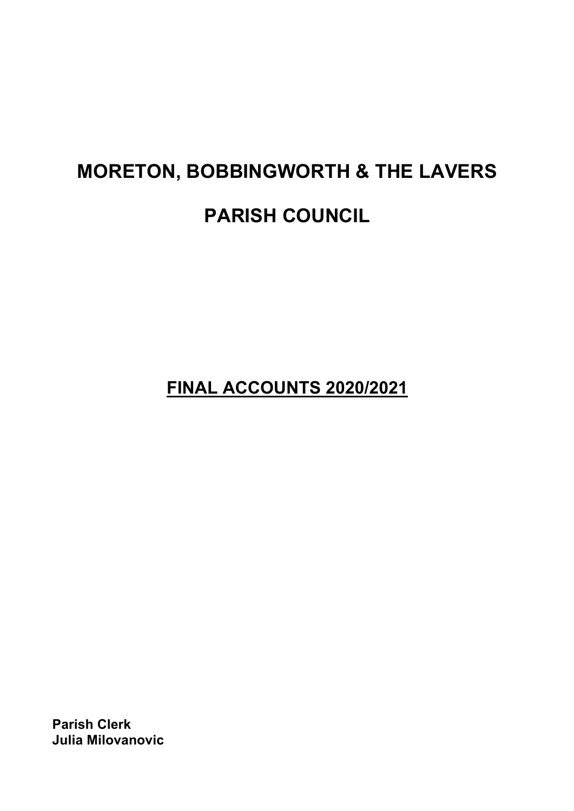# **MORETON, BOBBINGWORTH & THE LAVERS PARISH COUNCIL**

**FINAL ACCOUNTS 2020/2021**

**Parish Clerk Julia Milovanovic**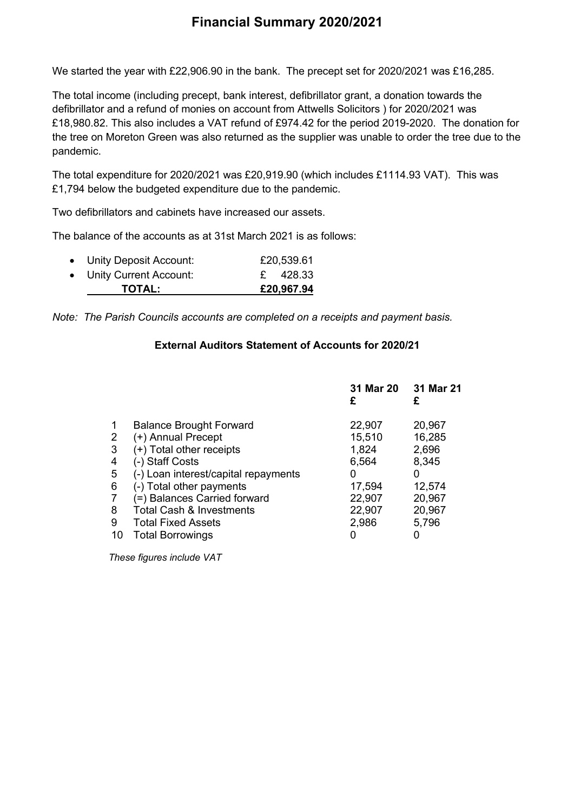# **Financial Summary 2020/2021**

We started the year with £22,906.90 in the bank. The precept set for 2020/2021 was £16,285.

The total income (including precept, bank interest, defibrillator grant, a donation towards the defibrillator and a refund of monies on account from Attwells Solicitors ) for 2020/2021 was £18,980.82. This also includes a VAT refund of £974.42 for the period 2019-2020. The donation for the tree on Moreton Green was also returned as the supplier was unable to order the tree due to the pandemic.

The total expenditure for 2020/2021 was £20,919.90 (which includes £1114.93 VAT). This was £1,794 below the budgeted expenditure due to the pandemic.

Two defibrillators and cabinets have increased our assets.

The balance of the accounts as at 31st March 2021 is as follows:

| <b>TOTAL:</b>            | £20,967.94 |
|--------------------------|------------|
| • Unity Current Account: | £ 428.33   |
| • Unity Deposit Account: | £20,539.61 |

*Note: The Parish Councils accounts are completed on a receipts and payment basis.*

#### **External Auditors Statement of Accounts for 2020/21**

|                                      | 31 Mar 20<br>£ | 31 Mar 21<br>£ |
|--------------------------------------|----------------|----------------|
| <b>Balance Brought Forward</b>       | 22,907         | 20,967         |
| (+) Annual Precept                   | 15,510         | 16,285         |
| (+) Total other receipts             | 1,824          | 2,696          |
| (-) Staff Costs                      | 6,564          | 8,345          |
| (-) Loan interest/capital repayments | 0              | 0              |
| (-) Total other payments             | 17,594         | 12,574         |
| (=) Balances Carried forward         | 22,907         | 20,967         |
| <b>Total Cash &amp; Investments</b>  | 22,907         | 20,967         |
| <b>Total Fixed Assets</b>            | 2,986          | 5,796          |
| <b>Total Borrowings</b>              |                |                |
|                                      |                |                |

 *These figures include VAT*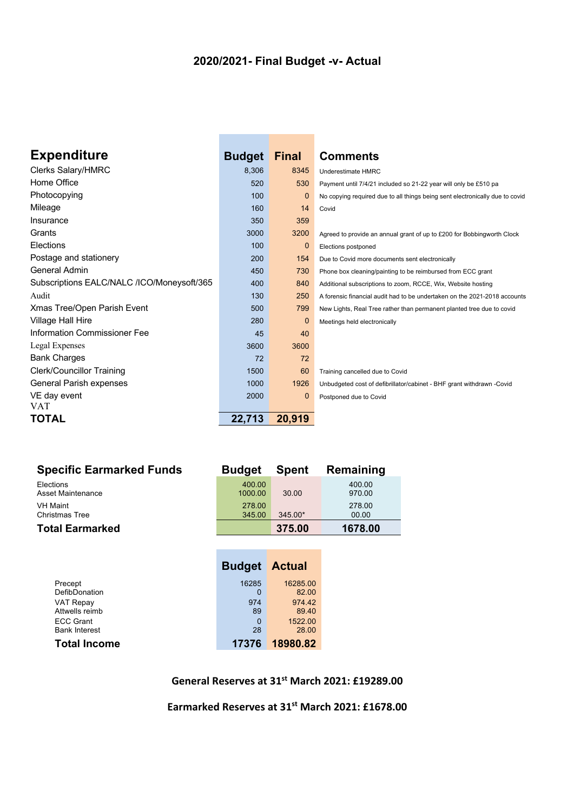# **2020/2021- Final Budget -v- Actual**

| <b>Expenditure</b>                         | <b>Budget</b> | <b>Final</b> | <b>Comments</b>                                                              |
|--------------------------------------------|---------------|--------------|------------------------------------------------------------------------------|
| <b>Clerks Salary/HMRC</b>                  | 8,306         | 8345         | Underestimate HMRC                                                           |
| Home Office                                | 520           | 530          | Payment until 7/4/21 included so 21-22 year will only be £510 pa             |
| Photocopying                               | 100           | 0            | No copying required due to all things being sent electronically due to covid |
| Mileage                                    | 160           | 14           | Covid                                                                        |
| Insurance                                  | 350           | 359          |                                                                              |
| Grants                                     | 3000          | 3200         | Agreed to provide an annual grant of up to £200 for Bobbingworth Clock       |
| Elections                                  | 100           | $\mathbf 0$  | Elections postponed                                                          |
| Postage and stationery                     | 200           | 154          | Due to Covid more documents sent electronically                              |
| General Admin                              | 450           | 730          | Phone box cleaning/painting to be reimbursed from ECC grant                  |
| Subscriptions EALC/NALC /ICO/Moneysoft/365 | 400           | 840          | Additional subscriptions to zoom, RCCE, Wix, Website hosting                 |
| Audit                                      | 130           | 250          | A forensic financial audit had to be undertaken on the 2021-2018 accounts    |
| Xmas Tree/Open Parish Event                | 500           | 799          | New Lights, Real Tree rather than permanent planted tree due to covid        |
| <b>Village Hall Hire</b>                   | 280           | 0            | Meetings held electronically                                                 |
| Information Commissioner Fee               | 45            | 40           |                                                                              |
| Legal Expenses                             | 3600          | 3600         |                                                                              |
| <b>Bank Charges</b>                        | 72            | 72           |                                                                              |
| <b>Clerk/Councillor Training</b>           | 1500          | 60           | Training cancelled due to Covid                                              |
| General Parish expenses                    | 1000          | 1926         | Unbudgeted cost of defibrillator/cabinet - BHF grant withdrawn -Covid        |
| VE day event                               | 2000          | 0            | Postponed due to Covid                                                       |
| VAT                                        |               |              |                                                                              |
| <b>TOTAL</b>                               | 22,713        | 20,919       |                                                                              |

| <b>Specific Earmarked Funds</b> | <b>Budget</b> | <b>Spent</b> | Remaining |
|---------------------------------|---------------|--------------|-----------|
| Elections                       | 400.00        | 30.00        | 400.00    |
| Asset Maintenance               | 1000.00       |              | 970.00    |
| <b>VH Maint</b>                 | 278.00        | $345.00*$    | 278.00    |
| <b>Christmas Tree</b>           | 345.00        |              | 00.00     |
| <b>Total Earmarked</b>          |               | 375.00       | 1678.00   |

 $\sim$ 

|                      | <b>Budget Actual</b> |          |
|----------------------|----------------------|----------|
| Precept              | 16285                | 16285.00 |
| DefibDonation        | O                    | 82.00    |
| <b>VAT Repay</b>     | 974                  | 974.42   |
| Attwells reimb       | 89                   | 89.40    |
| <b>ECC Grant</b>     | 0                    | 1522.00  |
| <b>Bank Interest</b> | 28                   | 28.00    |
| <b>Total Income</b>  | 17376                | 18980.82 |

## **General Reserves at 31st March 2021: £19289.00**

**Earmarked Reserves at 31st March 2021: £1678.00**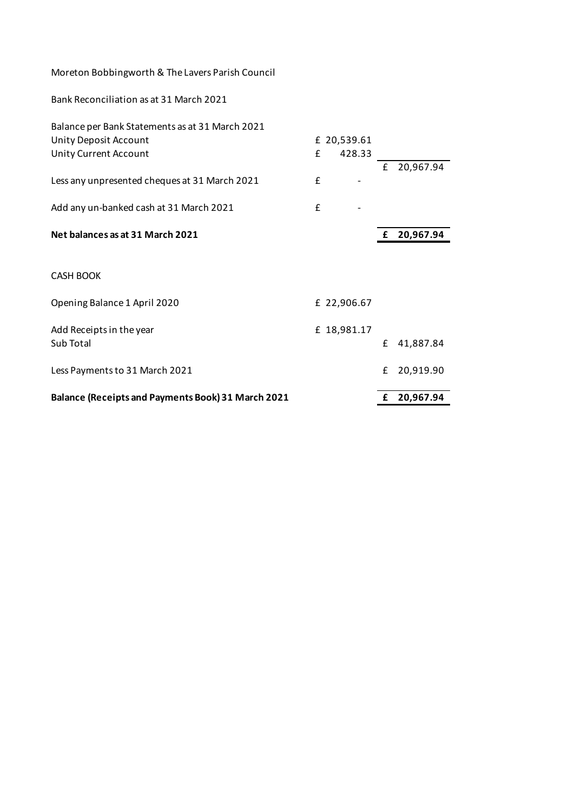| Bank Reconciliation as at 31 March 2021 |  |
|-----------------------------------------|--|
|-----------------------------------------|--|

| <b>Balance (Receipts and Payments Book) 31 March 2021</b> |   |             | £ | 20,967.94 |
|-----------------------------------------------------------|---|-------------|---|-----------|
| Less Payments to 31 March 2021                            |   |             | £ | 20,919.90 |
| Add Receipts in the year<br>Sub Total                     |   | £ 18,981.17 | £ | 41,887.84 |
| Opening Balance 1 April 2020                              |   | £ 22,906.67 |   |           |
| <b>CASH BOOK</b>                                          |   |             |   |           |
| Net balances as at 31 March 2021                          |   |             | £ | 20,967.94 |
| Add any un-banked cash at 31 March 2021                   | £ |             |   |           |
| Less any unpresented cheques at 31 March 2021             | £ |             | £ | 20,967.94 |
| Unity Current Account                                     | £ | 428.33      |   |           |
| Unity Deposit Account                                     |   | £ 20,539.61 |   |           |
| Balance per Bank Statements as at 31 March 2021           |   |             |   |           |